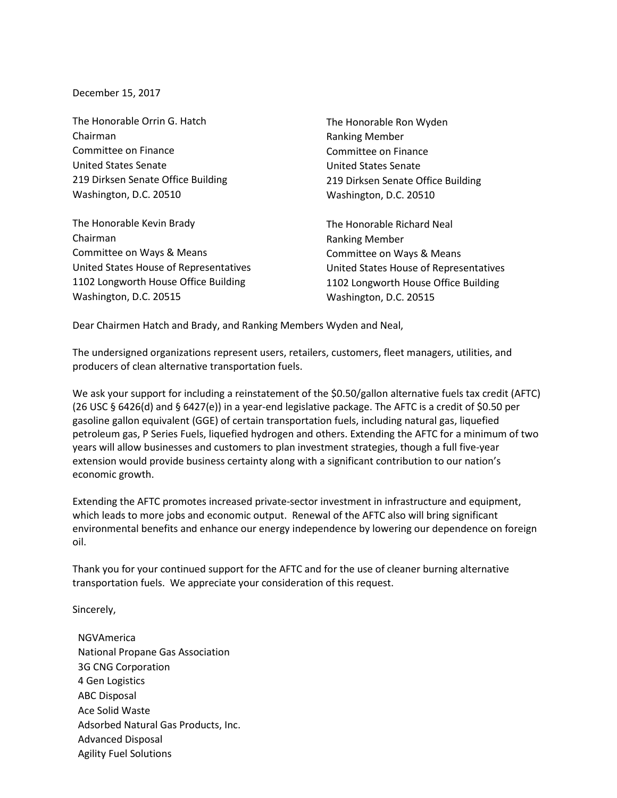December 15, 2017

The Honorable Orrin G. Hatch Chairman Committee on Finance United States Senate 219 Dirksen Senate Office Building Washington, D.C. 20510

The Honorable Kevin Brady Chairman Committee on Ways & Means United States House of Representatives 1102 Longworth House Office Building Washington, D.C. 20515

The Honorable Ron Wyden Ranking Member Committee on Finance United States Senate 219 Dirksen Senate Office Building Washington, D.C. 20510

The Honorable Richard Neal Ranking Member Committee on Ways & Means United States House of Representatives 1102 Longworth House Office Building Washington, D.C. 20515

Dear Chairmen Hatch and Brady, and Ranking Members Wyden and Neal,

The undersigned organizations represent users, retailers, customers, fleet managers, utilities, and producers of clean alternative transportation fuels.

We ask your support for including a reinstatement of the \$0.50/gallon alternative fuels tax credit (AFTC) (26 USC § 6426(d) and § 6427(e)) in a year-end legislative package. The AFTC is a credit of \$0.50 per gasoline gallon equivalent (GGE) of certain transportation fuels, including natural gas, liquefied petroleum gas, P Series Fuels, liquefied hydrogen and others. Extending the AFTC for a minimum of two years will allow businesses and customers to plan investment strategies, though a full five-year extension would provide business certainty along with a significant contribution to our nation's economic growth.

Extending the AFTC promotes increased private-sector investment in infrastructure and equipment, which leads to more jobs and economic output. Renewal of the AFTC also will bring significant environmental benefits and enhance our energy independence by lowering our dependence on foreign oil.

Thank you for your continued support for the AFTC and for the use of cleaner burning alternative transportation fuels. We appreciate your consideration of this request.

Sincerely,

NGVAmerica National Propane Gas Association 3G CNG Corporation 4 Gen Logistics ABC Disposal Ace Solid Waste Adsorbed Natural Gas Products, Inc. Advanced Disposal Agility Fuel Solutions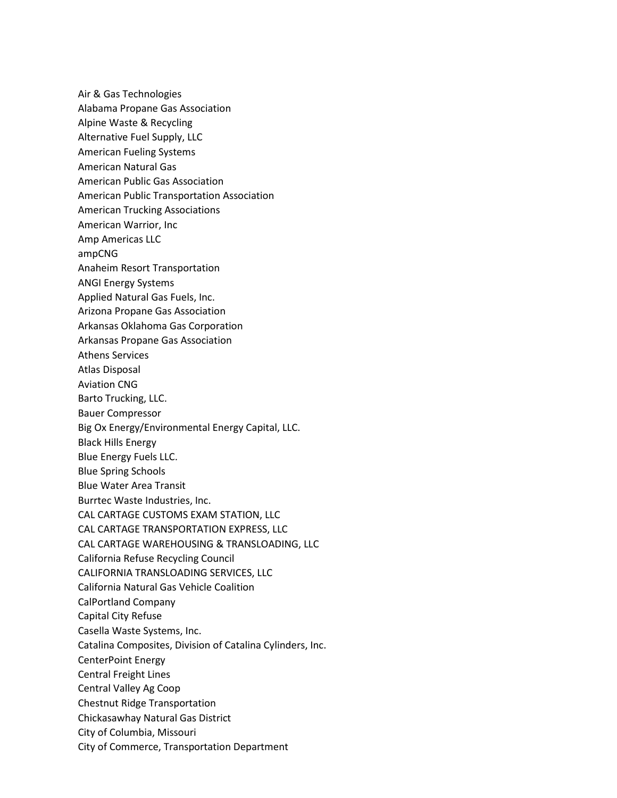Air & Gas Technologies Alabama Propane Gas Association [Alpine Waste & Recycling](http://www.alpinewaste.com/) Alternative Fuel Supply, LLC American Fueling Systems American Natural Gas American Public Gas Association American Public Transportation Association American Trucking Associations American Warrior, Inc Amp Americas LLC ampCNG Anaheim Resort Transportation ANGI Energy Systems Applied Natural Gas Fuels, Inc. Arizona Propane Gas Association Arkansas Oklahoma Gas Corporation Arkansas Propane Gas Association Athens Services Atlas Disposal Aviation CNG Barto Trucking, LLC. Bauer Compressor Big Ox Energy/Environmental Energy Capital, LLC. Black Hills Energy Blue Energy Fuels LLC. Blue Spring Schools Blue Water Area Transit Burrtec Waste Industries, Inc. CAL CARTAGE CUSTOMS EXAM STATION, LLC CAL CARTAGE TRANSPORTATION EXPRESS, LLC CAL CARTAGE WAREHOUSING & TRANSLOADING, LLC California Refuse Recycling Council CALIFORNIA TRANSLOADING SERVICES, LLC California Natural Gas Vehicle Coalition CalPortland Company Capital City Refuse Casella Waste Systems, Inc. Catalina Composites, Division of Catalina Cylinders, Inc. CenterPoint Energy Central Freight Lines Central Valley Ag Coop Chestnut Ridge Transportation Chickasawhay Natural Gas District City of Columbia, Missouri City of Commerce, Transportation Department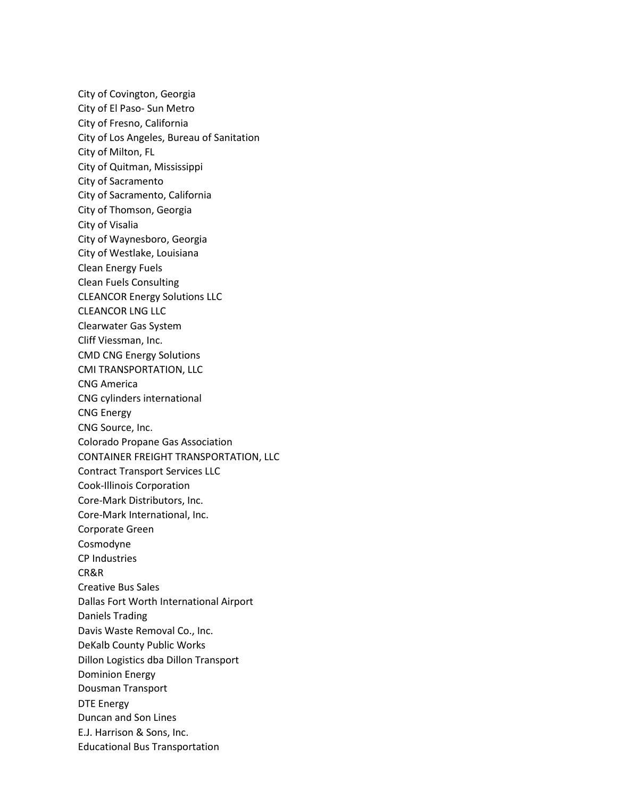City of Covington, Georgia City of El Paso- Sun Metro City of Fresno, California City of Los Angeles, Bureau of Sanitation City of Milton, FL City of Quitman, Mississippi City of Sacramento City of Sacramento, California City of Thomson, Georgia City of Visalia City of Waynesboro, Georgia City of Westlake, Louisiana Clean Energy Fuels Clean Fuels Consulting CLEANCOR Energy Solutions LLC CLEANCOR LNG LLC Clearwater Gas System Cliff Viessman, Inc. CMD CNG Energy Solutions CMI TRANSPORTATION, LLC CNG America CNG cylinders international CNG Energy CNG Source, Inc. Colorado Propane Gas Association CONTAINER FREIGHT TRANSPORTATION, LLC Contract Transport Services LLC Cook-Illinois Corporation Core-Mark Distributors, Inc. Core-Mark International, Inc. Corporate Green Cosmodyne CP Industries CR&R Creative Bus Sales Dallas Fort Worth International Airport Daniels Trading Davis Waste Removal Co., Inc. DeKalb County Public Works Dillon Logistics dba Dillon Transport Dominion Energy Dousman Transport DTE Energy Duncan and Son Lines E.J. Harrison & Sons, Inc. Educational Bus Transportation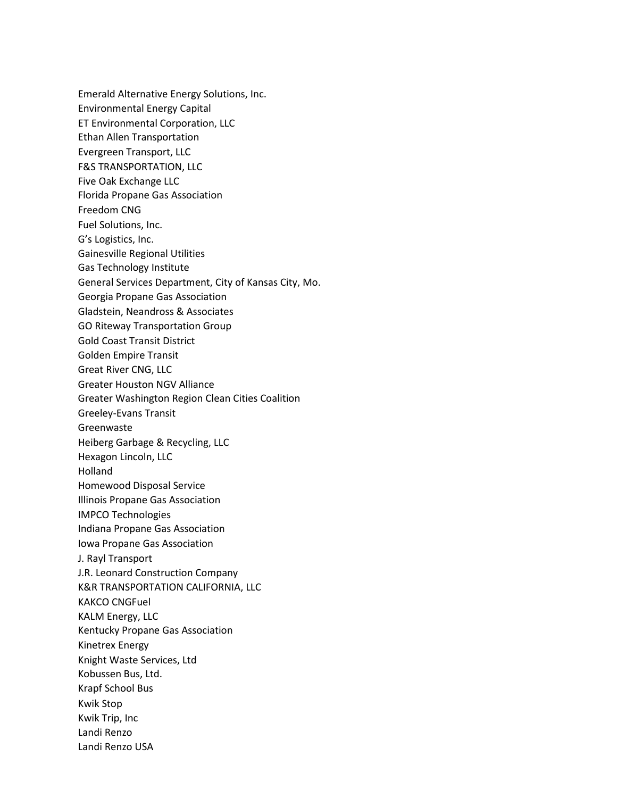Emerald Alternative Energy Solutions, Inc. Environmental Energy Capital ET Environmental Corporation, LLC Ethan Allen Transportation Evergreen Transport, LLC F&S TRANSPORTATION, LLC Five Oak Exchange LLC Florida Propane Gas Association Freedom CNG Fuel Solutions, Inc. G's Logistics, Inc. Gainesville Regional Utilities Gas Technology Institute General Services Department, City of Kansas City, Mo. Georgia Propane Gas Association Gladstein, Neandross & Associates GO Riteway Transportation Group Gold Coast Transit District Golden Empire Transit Great River CNG, LLC Greater Houston NGV Alliance Greater Washington Region Clean Cities Coalition Greeley-Evans Transit Greenwaste Heiberg Garbage & Recycling, LLC Hexagon Lincoln, LLC Holland Homewood Disposal Service Illinois Propane Gas Association IMPCO Technologies Indiana Propane Gas Association Iowa Propane Gas Association J. Rayl Transport J.R. Leonard Construction Company K&R TRANSPORTATION CALIFORNIA, LLC KAKCO CNGFuel KALM Energy, LLC Kentucky Propane Gas Association Kinetrex Energy Knight Waste Services, Ltd Kobussen Bus, Ltd. Krapf School Bus Kwik Stop Kwik Trip, Inc Landi Renzo Landi Renzo USA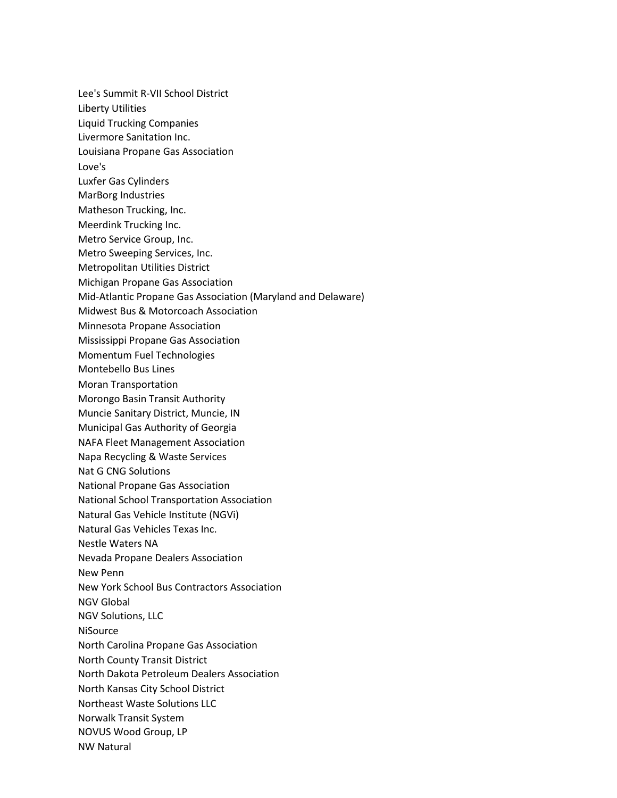Lee's Summit R-VII School District Liberty Utilities Liquid Trucking Companies Livermore Sanitation Inc. Louisiana Propane Gas Association Love's Luxfer Gas Cylinders MarBorg Industries Matheson Trucking, Inc. Meerdink Trucking Inc. Metro Service Group, Inc. Metro Sweeping Services, Inc. Metropolitan Utilities District Michigan Propane Gas Association Mid-Atlantic Propane Gas Association (Maryland and Delaware) Midwest Bus & Motorcoach Association Minnesota Propane Association Mississippi Propane Gas Association Momentum Fuel Technologies Montebello Bus Lines Moran Transportation Morongo Basin Transit Authority Muncie Sanitary District, Muncie, IN Municipal Gas Authority of Georgia NAFA Fleet Management Association Napa Recycling & Waste Services Nat G CNG Solutions National Propane Gas Association National School Transportation Association Natural Gas Vehicle Institute (NGVi) Natural Gas Vehicles Texas Inc. Nestle Waters NA Nevada Propane Dealers Association New Penn New York School Bus Contractors Association NGV Global NGV Solutions, LLC **NiSource** North Carolina Propane Gas Association North County Transit District North Dakota Petroleum Dealers Association North Kansas City School District Northeast Waste Solutions LLC Norwalk Transit System NOVUS Wood Group, LP NW Natural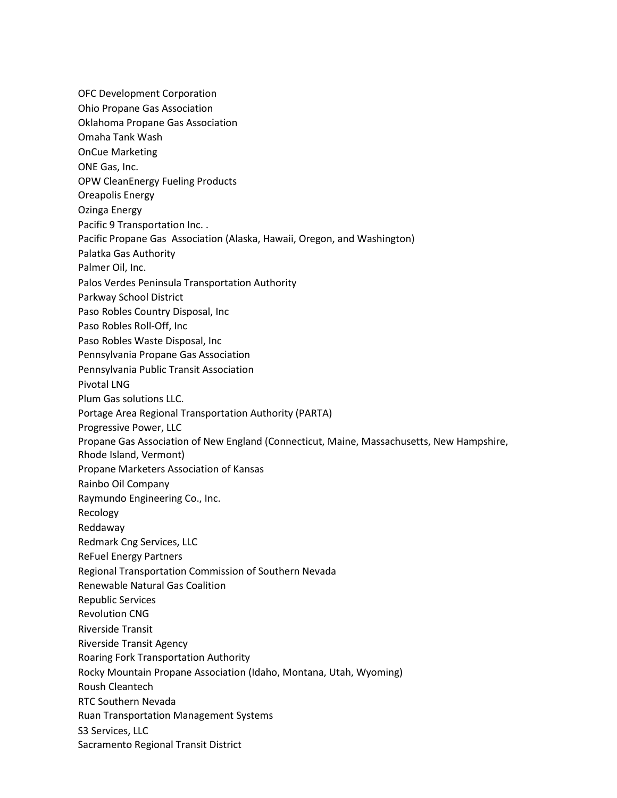OFC Development Corporation Ohio Propane Gas Association Oklahoma Propane Gas Association Omaha Tank Wash OnCue Marketing ONE Gas, Inc. OPW CleanEnergy Fueling Products Oreapolis Energy Ozinga Energy Pacific 9 Transportation Inc. . Pacific Propane Gas Association (Alaska, Hawaii, Oregon, and Washington) Palatka Gas Authority Palmer Oil, Inc. Palos Verdes Peninsula Transportation Authority Parkway School District Paso Robles Country Disposal, Inc Paso Robles Roll-Off, Inc Paso Robles Waste Disposal, Inc Pennsylvania Propane Gas Association Pennsylvania Public Transit Association Pivotal LNG Plum Gas solutions LLC. Portage Area Regional Transportation Authority (PARTA) Progressive Power, LLC Propane Gas Association of New England (Connecticut, Maine, Massachusetts, New Hampshire, Rhode Island, Vermont) Propane Marketers Association of Kansas Rainbo Oil Company Raymundo Engineering Co., Inc. Recology Reddaway Redmark Cng Services, LLC ReFuel Energy Partners Regional Transportation Commission of Southern Nevada Renewable Natural Gas Coalition Republic Services Revolution CNG Riverside Transit Riverside Transit Agency Roaring Fork Transportation Authority Rocky Mountain Propane Association (Idaho, Montana, Utah, Wyoming) Roush Cleantech RTC Southern Nevada Ruan Transportation Management Systems S3 Services, LLC Sacramento Regional Transit District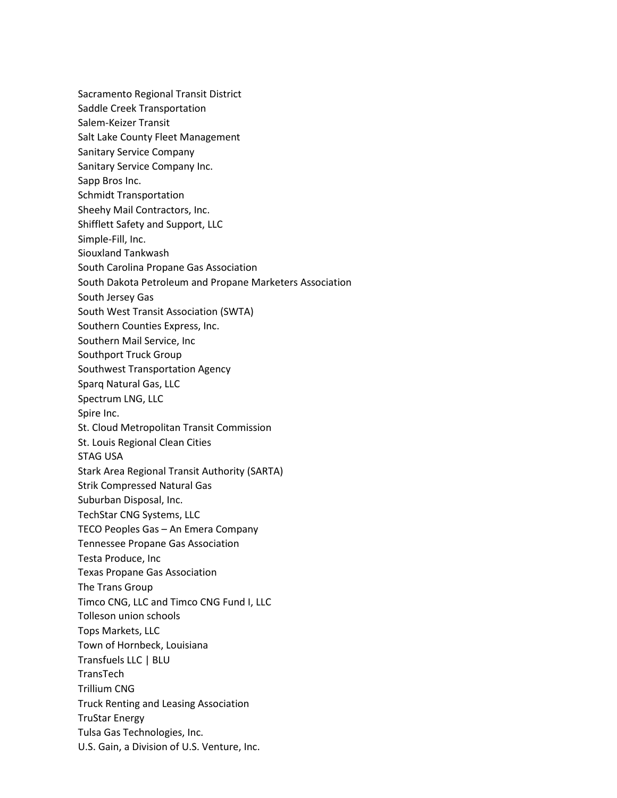Sacramento Regional Transit District Saddle Creek Transportation Salem-Keizer Transit Salt Lake County Fleet Management Sanitary Service Company Sanitary Service Company Inc. Sapp Bros Inc. Schmidt Transportation Sheehy Mail Contractors, Inc. Shifflett Safety and Support, LLC Simple-Fill, Inc. Siouxland Tankwash South Carolina Propane Gas Association South Dakota Petroleum and Propane Marketers Association South Jersey Gas South West Transit Association (SWTA) Southern Counties Express, Inc. Southern Mail Service, Inc Southport Truck Group Southwest Transportation Agency Sparq Natural Gas, LLC Spectrum LNG, LLC Spire Inc. St. Cloud Metropolitan Transit Commission St. Louis Regional Clean Cities STAG USA Stark Area Regional Transit Authority (SARTA) Strik Compressed Natural Gas Suburban Disposal, Inc. TechStar CNG Systems, LLC TECO Peoples Gas – An Emera Company Tennessee Propane Gas Association Testa Produce, Inc Texas Propane Gas Association The Trans Group Timco CNG, LLC and Timco CNG Fund I, LLC Tolleson union schools Tops Markets, LLC Town of Hornbeck, Louisiana Transfuels LLC | BLU TransTech Trillium CNG Truck Renting and Leasing Association TruStar Energy Tulsa Gas Technologies, Inc. U.S. Gain, a Division of U.S. Venture, Inc.